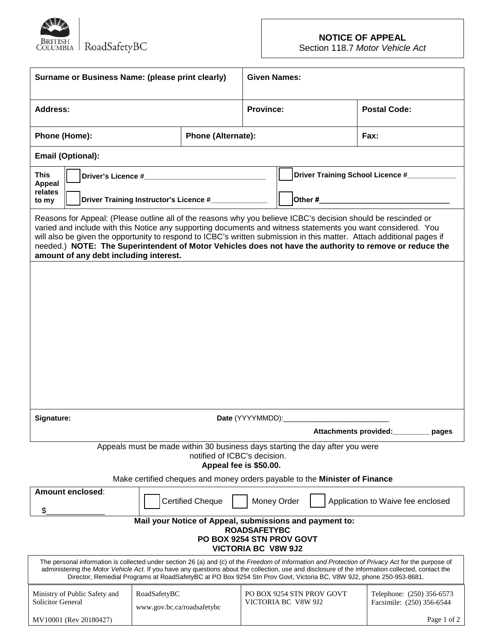

# **NOTICE OF APPEAL**

Section 118.7 *Motor Vehicle Act*

| Surname or Business Name: (please print clearly)                                                                                                                                                                                                                                                                                                                                                                                                                                                            |                                            |                         | <b>Given Names:</b>                              |                                     |  |  |                     |                                                        |
|-------------------------------------------------------------------------------------------------------------------------------------------------------------------------------------------------------------------------------------------------------------------------------------------------------------------------------------------------------------------------------------------------------------------------------------------------------------------------------------------------------------|--------------------------------------------|-------------------------|--------------------------------------------------|-------------------------------------|--|--|---------------------|--------------------------------------------------------|
| <b>Address:</b>                                                                                                                                                                                                                                                                                                                                                                                                                                                                                             |                                            |                         | <b>Province:</b>                                 |                                     |  |  | <b>Postal Code:</b> |                                                        |
| Phone (Home):<br><b>Phone (Alternate):</b>                                                                                                                                                                                                                                                                                                                                                                                                                                                                  |                                            |                         |                                                  |                                     |  |  | <b>Fax:</b>         |                                                        |
| <b>Email (Optional):</b>                                                                                                                                                                                                                                                                                                                                                                                                                                                                                    |                                            |                         |                                                  |                                     |  |  |                     |                                                        |
| <b>This</b><br><b>Appeal</b><br>relates<br>Driver Training Instructor's Licence #_____________<br>to my                                                                                                                                                                                                                                                                                                                                                                                                     |                                            |                         |                                                  | Driver Training School Licence #    |  |  |                     |                                                        |
|                                                                                                                                                                                                                                                                                                                                                                                                                                                                                                             |                                            |                         |                                                  | Other #____________________________ |  |  |                     |                                                        |
| Reasons for Appeal: (Please outline all of the reasons why you believe ICBC's decision should be rescinded or<br>varied and include with this Notice any supporting documents and witness statements you want considered. You<br>will also be given the opportunity to respond to ICBC's written submission in this matter. Attach additional pages if<br>needed.) NOTE: The Superintendent of Motor Vehicles does not have the authority to remove or reduce the<br>amount of any debt including interest. |                                            |                         |                                                  |                                     |  |  |                     |                                                        |
|                                                                                                                                                                                                                                                                                                                                                                                                                                                                                                             |                                            |                         |                                                  |                                     |  |  |                     |                                                        |
|                                                                                                                                                                                                                                                                                                                                                                                                                                                                                                             |                                            |                         |                                                  |                                     |  |  |                     |                                                        |
|                                                                                                                                                                                                                                                                                                                                                                                                                                                                                                             |                                            |                         |                                                  |                                     |  |  |                     |                                                        |
|                                                                                                                                                                                                                                                                                                                                                                                                                                                                                                             |                                            |                         |                                                  |                                     |  |  |                     |                                                        |
|                                                                                                                                                                                                                                                                                                                                                                                                                                                                                                             |                                            |                         |                                                  |                                     |  |  |                     |                                                        |
|                                                                                                                                                                                                                                                                                                                                                                                                                                                                                                             |                                            |                         |                                                  |                                     |  |  |                     |                                                        |
|                                                                                                                                                                                                                                                                                                                                                                                                                                                                                                             |                                            |                         |                                                  |                                     |  |  |                     |                                                        |
| Signature:<br>Date (YYYYMMDD):______________________                                                                                                                                                                                                                                                                                                                                                                                                                                                        |                                            |                         |                                                  |                                     |  |  |                     |                                                        |
| Attachments provided:<br>pages                                                                                                                                                                                                                                                                                                                                                                                                                                                                              |                                            |                         |                                                  |                                     |  |  |                     |                                                        |
| Appeals must be made within 30 business days starting the day after you were<br>notified of ICBC's decision.<br>Appeal fee is \$50.00.                                                                                                                                                                                                                                                                                                                                                                      |                                            |                         |                                                  |                                     |  |  |                     |                                                        |
| Make certified cheques and money orders payable to the Minister of Finance                                                                                                                                                                                                                                                                                                                                                                                                                                  |                                            |                         |                                                  |                                     |  |  |                     |                                                        |
| Amount enclosed:<br>\$.                                                                                                                                                                                                                                                                                                                                                                                                                                                                                     |                                            | <b>Certified Cheque</b> | Money Order                                      |                                     |  |  |                     | Application to Waive fee enclosed                      |
| Mail your Notice of Appeal, submissions and payment to:<br><b>ROADSAFETYBC</b>                                                                                                                                                                                                                                                                                                                                                                                                                              |                                            |                         |                                                  |                                     |  |  |                     |                                                        |
| PO BOX 9254 STN PROV GOVT<br><b>VICTORIA BC V8W 9J2</b>                                                                                                                                                                                                                                                                                                                                                                                                                                                     |                                            |                         |                                                  |                                     |  |  |                     |                                                        |
| The personal information is collected under section 26 (a) and (c) of the Freedom of Information and Protection of Privacy Act for the purpose of<br>administering the Motor Vehicle Act. If you have any questions about the collection, use and disclosure of the information collected, contact the<br>Director, Remedial Programs at RoadSafetyBC at PO Box 9254 Stn Prov Govt, Victoria BC, V8W 9J2, phone 250-953-8681.                                                                               |                                            |                         |                                                  |                                     |  |  |                     |                                                        |
| Ministry of Public Safety and<br><b>Solicitor General</b>                                                                                                                                                                                                                                                                                                                                                                                                                                                   | RoadSafetyBC<br>www.gov.bc.ca/roadsafetybc |                         | PO BOX 9254 STN PROV GOVT<br>VICTORIA BC V8W 9J2 |                                     |  |  |                     | Telephone: (250) 356-6573<br>Facsimile: (250) 356-6544 |
| MV10001 (Rev 20180427)                                                                                                                                                                                                                                                                                                                                                                                                                                                                                      |                                            |                         |                                                  |                                     |  |  |                     | Page 1 of 2                                            |